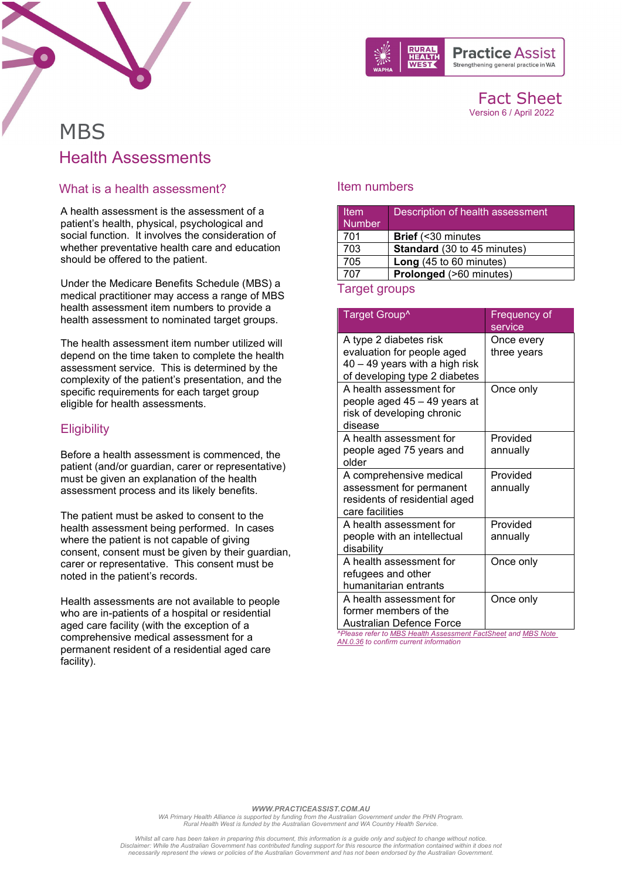

Fact Sheet Version 6 / April 2022

# **MBS** Health Assessments

### What is a health assessment?

A health assessment is the assessment of a patient's health, physical, psychological and social function. It involves the consideration of whether preventative health care and education should be offered to the patient.

Under the Medicare Benefits Schedule (MBS) a medical practitioner may access a range of MBS health assessment item numbers to provide a health assessment to nominated target groups.

The health assessment item number utilized will depend on the time taken to complete the health assessment service. This is determined by the complexity of the patient's presentation, and the specific requirements for each target group eligible for health assessments.

## **Eligibility**

Before a health assessment is commenced, the patient (and/or guardian, carer or representative) must be given an explanation of the health assessment process and its likely benefits.

The patient must be asked to consent to the health assessment being performed. In cases where the patient is not capable of giving consent, consent must be given by their guardian, carer or representative. This consent must be noted in the patient's records.

Health assessments are not available to people who are in-patients of a hospital or residential aged care facility (with the exception of a comprehensive medical assessment for a permanent resident of a residential aged care facility).

#### Item numbers

| <b>Item</b><br><b>Number</b> | Description of health assessment   |
|------------------------------|------------------------------------|
| 701                          | <b>Brief</b> (<30 minutes          |
| 703                          | <b>Standard</b> (30 to 45 minutes) |
| 705                          | Long (45 to 60 minutes)            |
| 707                          | Prolonged (>60 minutes)            |

#### Target groups

| Target Group^                                                                                                           | <b>Frequency of</b><br>service |
|-------------------------------------------------------------------------------------------------------------------------|--------------------------------|
| A type 2 diabetes risk<br>evaluation for people aged<br>40 - 49 years with a high risk<br>of developing type 2 diabetes | Once every<br>three years      |
| A health assessment for<br>people aged 45 - 49 years at<br>risk of developing chronic<br>disease                        | Once only                      |
| A health assessment for<br>people aged 75 years and<br>older                                                            | Provided<br>annually           |
| A comprehensive medical<br>assessment for permanent<br>residents of residential aged<br>care facilities                 | Provided<br>annually           |
| A health assessment for<br>people with an intellectual<br>disability                                                    | Provided<br>annually           |
| A health assessment for<br>refugees and other<br>humanitarian entrants                                                  | Once only                      |
| A health assessment for<br>former members of the<br>Australian Defence Force                                            | Once only                      |

*^Please refer t[o MBS Health Assessment FactSheet](https://www1.health.gov.au/internet/main/publishing.nsf/Content/169E5ECAFE157951CA257BF0001D242D/$File/Hlth%20Ass%20items%20(1).pdf) an[d MBS Note](http://www9.health.gov.au/mbs/fullDisplay.cfm?type=note&q=AN.0.36&qt=noteID&criteria=health%20assessments)  [AN.0.36](http://www9.health.gov.au/mbs/fullDisplay.cfm?type=note&q=AN.0.36&qt=noteID&criteria=health%20assessments) to confirm current information*

*WWW.PRACTICEASSIST.COM.AU*

*WA Primary Health Alliance is supported by funding from the Australian Government under the PHN Program. Rural Health West is funded by the Australian Government and WA Country Health Service.* 

*Whilst all care has been taken in preparing this document, this information is a guide only and subject to change without notice. Disclaimer: While the Australian Government has contributed funding support for this resource the information contained within it does not necessarily represent the views or policies of the Australian Government and has not been endorsed by the Australian Government.*